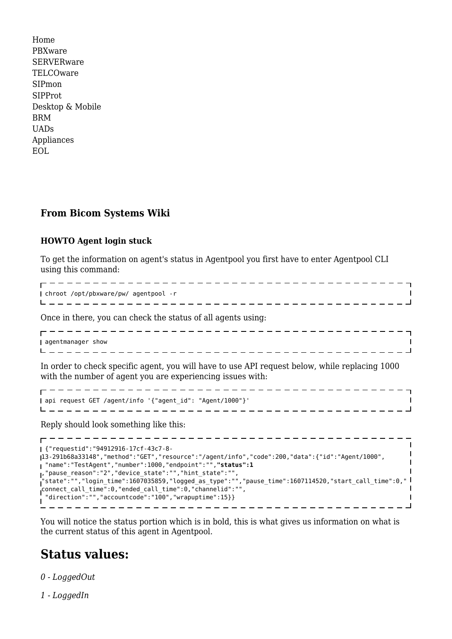[Home](http://wiki.bicomsystems.com/Main_Page) [PBXware](http://wiki.bicomsystems.com/PBXware) **[SERVERware](http://wiki.bicomsystems.com/SERVERware)** [TELCOware](http://wiki.bicomsystems.com/TELCOware) [SIPmon](http://wiki.bicomsystems.com/SIPmon) [SIPProt](http://wiki.bicomsystems.com/SIPProt) [Desktop & Mobile](http://wiki.bicomsystems.com/Desktop_and_Mobile) [BRM](http://wiki.bicomsystems.com/BRM) [UADs](http://wiki.bicomsystems.com/UADs) [Appliances](http://wiki.bicomsystems.com/Appliances) [EOL](http://wiki.bicomsystems.com/EOL)

## **From Bicom Systems Wiki**

## **HOWTO Agent login stuck**

-------------

To get the information on agent's status in Agentpool you first have to enter Agentpool CLI using this command:

 chroot /opt/pbxware/pw/ agentpool -r \_ \_ \_ \_ \_ \_ \_ \_ \_ \_ \_ \_ \_ \_ \_ \_ \_

Once in there, you can check the status of all agents using:

| -------------------------------- |  |
|----------------------------------|--|
|                                  |  |
| show<br>, agentmanager           |  |
|                                  |  |

. . . . . . . . . . . . . . . . .

 $\overline{1}$ 

 $\mathbf{I}$ 

In order to check specific agent, you will have to use API request below, while replacing 1000 with the number of agent you are experiencing issues with:

------------------------------------ api request GET /agent/info '{"agent\_id": "Agent/1000"}' 

Reply should look something like this:

----------------------------------- {"requestid":"94912916-17cf-43c7-8- 13-291b68a33148","method":"GET","resource":"/agent/info","code":200,"data":{"id":"Agent/1000", "name":"TestAgent","number":1000,"endpoint":"",**"status":1** ,"pause\_reason":"2","device\_state":"","hint\_state":"", "state":"","login\_time":1607035859,"logged\_as\_type":"","pause\_time":1607114520,"start\_call\_time":0," connect\_call\_time":0,"ended\_call\_time":0,"channelid":"", "direction":"","accountcode":"100","wrapuptime":15}}  $\overline{1}$ \_ \_ \_ \_ \_ \_ \_ \_ \_ \_

You will notice the status portion which is in bold, this is what gives us information on what is the current status of this agent in Agentpool.

## **Status values:**

*0 - LoggedOut*

*1 - LoggedIn*